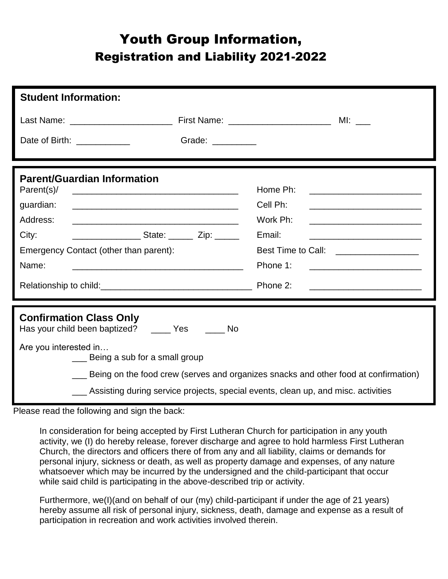## Youth Group Information, Registration and Liability 2021-2022

| <b>Student Information:</b>                                                                                                                                      |                                                                                                                                   |
|------------------------------------------------------------------------------------------------------------------------------------------------------------------|-----------------------------------------------------------------------------------------------------------------------------------|
|                                                                                                                                                                  |                                                                                                                                   |
| Grade: <u>_________</u><br>Date of Birth: ____________                                                                                                           |                                                                                                                                   |
| <b>Parent/Guardian Information</b><br>Parent(s)/<br>guardian:<br>Address:<br>City:<br><u>Contract State:</u> Cip: 2ip:<br>Emergency Contact (other than parent): | Home Ph:<br>Cell Ph:<br>Work Ph:<br><u> 1980 - Jan Barnett, fransk politik (d. 1980)</u><br>Email:                                |
| Name:<br><u> 1989 - Johann Barn, mars ann an t-Amhain an t-Amhain an t-Amhain an t-Amhain an t-Amhain an t-Amhain an t-A</u>                                     | Phone 1:<br><u> 1989 - Johann Harry Harry Harry Harry Harry Harry Harry Harry Harry Harry Harry Harry Harry Harry Harry Harry</u> |
|                                                                                                                                                                  |                                                                                                                                   |
| <b>Confirmation Class Only</b><br>Has your child been baptized? _____ Yes ______ No                                                                              |                                                                                                                                   |
| Are you interested in<br>Being a sub for a small group<br>__ Assisting during service projects, special events, clean up, and misc. activities                   | Being on the food crew (serves and organizes snacks and other food at confirmation)                                               |

Please read the following and sign the back:

In consideration for being accepted by First Lutheran Church for participation in any youth activity, we (I) do hereby release, forever discharge and agree to hold harmless First Lutheran Church, the directors and officers there of from any and all liability, claims or demands for personal injury, sickness or death, as well as property damage and expenses, of any nature whatsoever which may be incurred by the undersigned and the child-participant that occur while said child is participating in the above-described trip or activity.

Furthermore, we(I)(and on behalf of our (my) child-participant if under the age of 21 years) hereby assume all risk of personal injury, sickness, death, damage and expense as a result of participation in recreation and work activities involved therein.